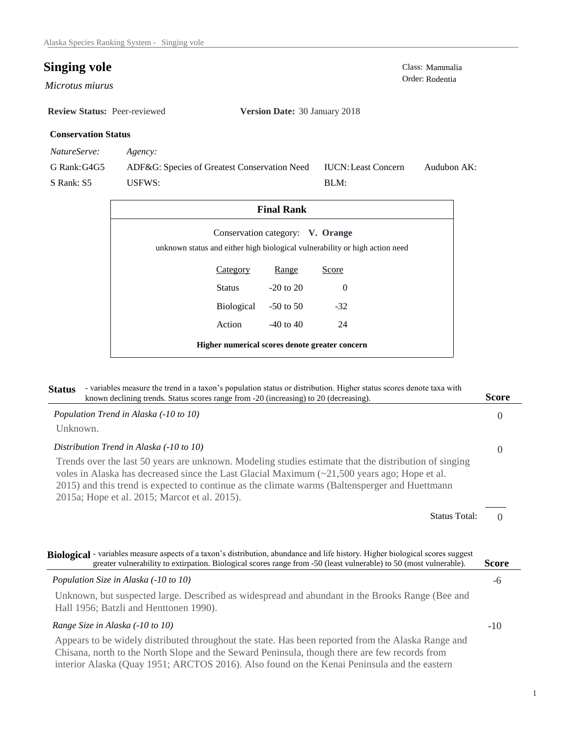## **Singing vole** Class: Mammalia

*Microtus miurus* 

**Review Status:** Peer-reviewed **Version Date:** 30 January 2018

## **Conservation Status**

*NatureServe: Agency:*

G Rank:G4G5

S Rank: S5

ADF&G: Species of Greatest Conservation Need USFWS: Audubon AK: BLM: IUCN:Least Concern

| <b>Final Rank</b>                                                           |                                  |          |  |  |  |
|-----------------------------------------------------------------------------|----------------------------------|----------|--|--|--|
| unknown status and either high biological vulnerability or high action need | Conservation category: V. Orange |          |  |  |  |
| <b>Category</b>                                                             | Range                            | Score    |  |  |  |
| Status                                                                      | $-20$ to $20$                    | $\Omega$ |  |  |  |
| Biological                                                                  | $-50$ to 50                      | $-32$    |  |  |  |
| Action                                                                      | $-40$ to $40$                    | 24       |  |  |  |
| Higher numerical scores denote greater concern                              |                                  |          |  |  |  |

| - variables measure the trend in a taxon's population status or distribution. Higher status scores denote taxa with<br><b>Status</b><br>known declining trends. Status scores range from -20 (increasing) to 20 (decreasing).                                                                                                                                  | <b>Score</b> |
|----------------------------------------------------------------------------------------------------------------------------------------------------------------------------------------------------------------------------------------------------------------------------------------------------------------------------------------------------------------|--------------|
| Population Trend in Alaska (-10 to 10)                                                                                                                                                                                                                                                                                                                         | $\Omega$     |
| Unknown.                                                                                                                                                                                                                                                                                                                                                       |              |
| Distribution Trend in Alaska (-10 to 10)                                                                                                                                                                                                                                                                                                                       | $\Omega$     |
| Trends over the last 50 years are unknown. Modeling studies estimate that the distribution of singing<br>voles in Alaska has decreased since the Last Glacial Maximum $(\sim 21,500$ years ago; Hope et al.<br>2015) and this trend is expected to continue as the climate warms (Baltensperger and Huettmann<br>2015a; Hope et al. 2015; Marcot et al. 2015). |              |
| <b>Status Total:</b>                                                                                                                                                                                                                                                                                                                                           | $\Omega$     |
| Biological - variables measure aspects of a taxon's distribution, abundance and life history. Higher biological scores suggest<br>greater vulnerability to extirpation. Biological scores range from -50 (least vulnerable) to 50 (most vulnerable).                                                                                                           | Score        |
| Population Size in Alaska (-10 to 10)                                                                                                                                                                                                                                                                                                                          | -6           |
| Unknown, but suspected large. Described as widespread and abundant in the Brooks Range (Bee and<br>Hall 1956; Batzli and Henttonen 1990).                                                                                                                                                                                                                      |              |
| Range Size in Alaska (-10 to 10)                                                                                                                                                                                                                                                                                                                               | $-10$        |
| Appears to be widely distributed throughout the state. Has been reported from the Alaska Range and<br>Chisana, north to the North Slope and the Seward Peninsula, though there are few records from                                                                                                                                                            |              |

interior Alaska (Quay 1951; ARCTOS 2016). Also found on the Kenai Peninsula and the eastern

Order: Rodentia

1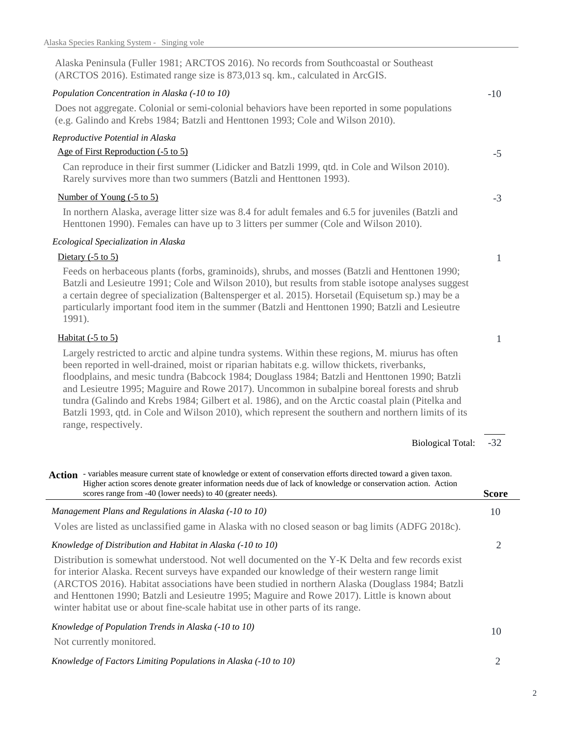| Alaska Peninsula (Fuller 1981; ARCTOS 2016). No records from Southcoastal or Southeast<br>(ARCTOS 2016). Estimated range size is 873,013 sq. km., calculated in ArcGIS.                                                                                                                                                                                                                                                                                                                                                                                                                                                              |              |
|--------------------------------------------------------------------------------------------------------------------------------------------------------------------------------------------------------------------------------------------------------------------------------------------------------------------------------------------------------------------------------------------------------------------------------------------------------------------------------------------------------------------------------------------------------------------------------------------------------------------------------------|--------------|
| Population Concentration in Alaska (-10 to 10)                                                                                                                                                                                                                                                                                                                                                                                                                                                                                                                                                                                       | $-10$        |
| Does not aggregate. Colonial or semi-colonial behaviors have been reported in some populations<br>(e.g. Galindo and Krebs 1984; Batzli and Henttonen 1993; Cole and Wilson 2010).                                                                                                                                                                                                                                                                                                                                                                                                                                                    |              |
| Reproductive Potential in Alaska                                                                                                                                                                                                                                                                                                                                                                                                                                                                                                                                                                                                     |              |
| Age of First Reproduction (-5 to 5)                                                                                                                                                                                                                                                                                                                                                                                                                                                                                                                                                                                                  | $-5$         |
| Can reproduce in their first summer (Lidicker and Batzli 1999, qtd. in Cole and Wilson 2010).<br>Rarely survives more than two summers (Batzli and Henttonen 1993).                                                                                                                                                                                                                                                                                                                                                                                                                                                                  |              |
| Number of Young (-5 to 5)                                                                                                                                                                                                                                                                                                                                                                                                                                                                                                                                                                                                            | $-3$         |
| In northern Alaska, average litter size was 8.4 for adult females and 6.5 for juveniles (Batzli and<br>Henttonen 1990). Females can have up to 3 litters per summer (Cole and Wilson 2010).                                                                                                                                                                                                                                                                                                                                                                                                                                          |              |
| Ecological Specialization in Alaska                                                                                                                                                                                                                                                                                                                                                                                                                                                                                                                                                                                                  |              |
| Dietary $(-5 \text{ to } 5)$                                                                                                                                                                                                                                                                                                                                                                                                                                                                                                                                                                                                         | 1            |
| Feeds on herbaceous plants (forbs, graminoids), shrubs, and mosses (Batzli and Henttonen 1990;<br>Batzli and Lesieutre 1991; Cole and Wilson 2010), but results from stable isotope analyses suggest<br>a certain degree of specialization (Baltensperger et al. 2015). Horsetail (Equisetum sp.) may be a<br>particularly important food item in the summer (Batzli and Henttonen 1990; Batzli and Lesieutre<br>1991).                                                                                                                                                                                                              |              |
| Habitat $(-5 \text{ to } 5)$                                                                                                                                                                                                                                                                                                                                                                                                                                                                                                                                                                                                         | 1            |
| Largely restricted to arctic and alpine tundra systems. Within these regions, M. miurus has often<br>been reported in well-drained, moist or riparian habitats e.g. willow thickets, riverbanks,<br>floodplains, and mesic tundra (Babcock 1984; Douglass 1984; Batzli and Henttonen 1990; Batzli<br>and Lesieutre 1995; Maguire and Rowe 2017). Uncommon in subalpine boreal forests and shrub<br>tundra (Galindo and Krebs 1984; Gilbert et al. 1986), and on the Arctic coastal plain (Pitelka and<br>Batzli 1993, qtd. in Cole and Wilson 2010), which represent the southern and northern limits of its<br>range, respectively. |              |
| <b>Biological Total:</b>                                                                                                                                                                                                                                                                                                                                                                                                                                                                                                                                                                                                             | $-32$        |
| Action - variables measure current state of knowledge or extent of conservation efforts directed toward a given taxon.<br>Higher action scores denote greater information needs due of lack of knowledge or conservation action. Action<br>scores range from -40 (lower needs) to 40 (greater needs).                                                                                                                                                                                                                                                                                                                                | <b>Score</b> |
| Management Plans and Regulations in Alaska (-10 to 10)                                                                                                                                                                                                                                                                                                                                                                                                                                                                                                                                                                               | 10           |
| Voles are listed as unclassified game in Alaska with no closed season or bag limits (ADFG 2018c).                                                                                                                                                                                                                                                                                                                                                                                                                                                                                                                                    |              |
| Knowledge of Distribution and Habitat in Alaska (-10 to 10)                                                                                                                                                                                                                                                                                                                                                                                                                                                                                                                                                                          | 2            |
| Distribution is somewhat understood. Not well documented on the Y-K Delta and few records exist<br>for interior Alaska. Recent surveys have expanded our knowledge of their western range limit<br>(ARCTOS 2016). Habitat associations have been studied in northern Alaska (Douglass 1984; Batzli<br>and Henttonen 1990; Batzli and Lesieutre 1995; Maguire and Rowe 2017). Little is known about<br>winter habitat use or about fine-scale habitat use in other parts of its range.                                                                                                                                                |              |
| Knowledge of Population Trends in Alaska (-10 to 10)                                                                                                                                                                                                                                                                                                                                                                                                                                                                                                                                                                                 | 10           |
| Not currently monitored.                                                                                                                                                                                                                                                                                                                                                                                                                                                                                                                                                                                                             |              |
| Knowledge of Factors Limiting Populations in Alaska (-10 to 10)                                                                                                                                                                                                                                                                                                                                                                                                                                                                                                                                                                      | 2            |

2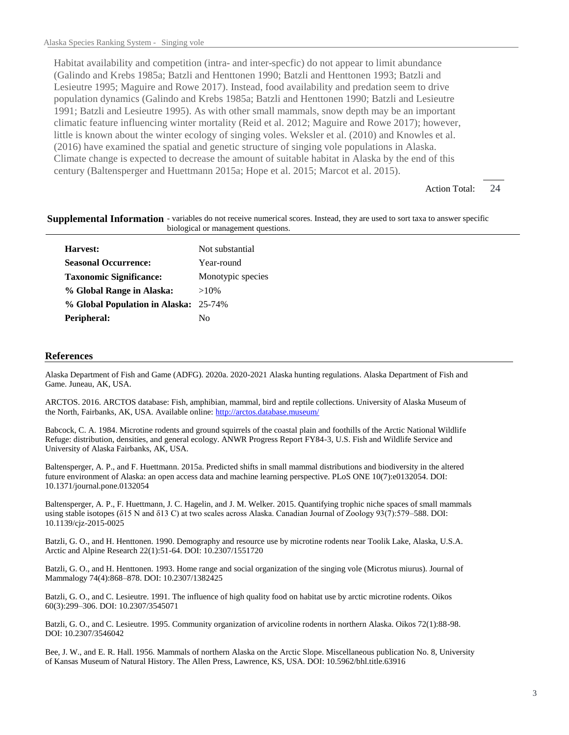Habitat availability and competition (intra- and inter-specfic) do not appear to limit abundance (Galindo and Krebs 1985a; Batzli and Henttonen 1990; Batzli and Henttonen 1993; Batzli and Lesieutre 1995; Maguire and Rowe 2017). Instead, food availability and predation seem to drive population dynamics (Galindo and Krebs 1985a; Batzli and Henttonen 1990; Batzli and Lesieutre 1991; Batzli and Lesieutre 1995). As with other small mammals, snow depth may be an important climatic feature influencing winter mortality (Reid et al. 2012; Maguire and Rowe 2017); however, little is known about the winter ecology of singing voles. Weksler et al. (2010) and Knowles et al. (2016) have examined the spatial and genetic structure of singing vole populations in Alaska. Climate change is expected to decrease the amount of suitable habitat in Alaska by the end of this century (Baltensperger and Huettmann 2015a; Hope et al. 2015; Marcot et al. 2015).

> 24 Action Total:

## Supplemental Information - variables do not receive numerical scores. Instead, they are used to sort taxa to answer specific biological or management questions.

| Harvest:                              | Not substantial   |
|---------------------------------------|-------------------|
| <b>Seasonal Occurrence:</b>           | Year-round        |
| <b>Taxonomic Significance:</b>        | Monotypic species |
| % Global Range in Alaska:             | $>10\%$           |
| % Global Population in Alaska: 25-74% |                   |
| Peripheral:                           | Nο                |
|                                       |                   |

## **References**

Alaska Department of Fish and Game (ADFG). 2020a. 2020-2021 Alaska hunting regulations. Alaska Department of Fish and Game. Juneau, AK, USA.

ARCTOS. 2016. ARCTOS database: Fish, amphibian, mammal, bird and reptile collections. University of Alaska Museum of the North, Fairbanks, AK, USA. Available online: http://arctos.database.museum/

Babcock, C. A. 1984. Microtine rodents and ground squirrels of the coastal plain and foothills of the Arctic National Wildlife Refuge: distribution, densities, and general ecology. ANWR Progress Report FY84-3, U.S. Fish and Wildlife Service and University of Alaska Fairbanks, AK, USA.

Baltensperger, A. P., and F. Huettmann. 2015a. Predicted shifts in small mammal distributions and biodiversity in the altered future environment of Alaska: an open access data and machine learning perspective. PLoS ONE 10(7):e0132054. DOI: 10.1371/journal.pone.0132054

Baltensperger, A. P., F. Huettmann, J. C. Hagelin, and J. M. Welker. 2015. Quantifying trophic niche spaces of small mammals using stable isotopes (δ15 N and δ13 C) at two scales across Alaska. Canadian Journal of Zoology 93(7):579–588. DOI: 10.1139/cjz-2015-0025

Batzli, G. O., and H. Henttonen. 1990. Demography and resource use by microtine rodents near Toolik Lake, Alaska, U.S.A. Arctic and Alpine Research 22(1):51-64. DOI: 10.2307/1551720

Batzli, G. O., and H. Henttonen. 1993. Home range and social organization of the singing vole (Microtus miurus). Journal of Mammalogy 74(4):868–878. DOI: 10.2307/1382425

Batzli, G. O., and C. Lesieutre. 1991. The influence of high quality food on habitat use by arctic microtine rodents. Oikos 60(3):299–306. DOI: 10.2307/3545071

Batzli, G. O., and C. Lesieutre. 1995. Community organization of arvicoline rodents in northern Alaska. Oikos 72(1):88-98. DOI: 10.2307/3546042

Bee, J. W., and E. R. Hall. 1956. Mammals of northern Alaska on the Arctic Slope. Miscellaneous publication No. 8, University of Kansas Museum of Natural History. The Allen Press, Lawrence, KS, USA. DOI: 10.5962/bhl.title.63916